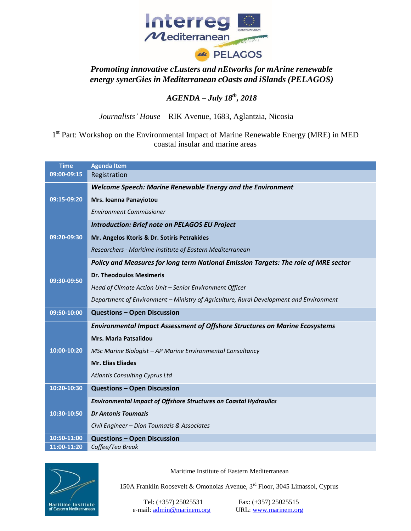

## *Promoting innovative cLusters and nEtworks for mArine renewable energy synerGies in Mediterranean cOasts and iSlands (PELAGOS)*

## *AGENDA – July 18th, 2018*

*Journalists' House –* RIK Avenue, 1683, Aglantzia, Nicosia

1<sup>st</sup> Part: Workshop on the Environmental Impact of Marine Renewable Energy (MRE) in MED coastal insular and marine areas

| <b>Time</b> | <b>Agenda Item</b>                                                                     |  |  |
|-------------|----------------------------------------------------------------------------------------|--|--|
| 09:00-09:15 | Registration                                                                           |  |  |
| 09:15-09:20 | Welcome Speech: Marine Renewable Energy and the Environment                            |  |  |
|             | Mrs. Ioanna Panayiotou                                                                 |  |  |
|             | <b>Environment Commissioner</b>                                                        |  |  |
| 09:20-09:30 | <b>Introduction: Brief note on PELAGOS EU Project</b>                                  |  |  |
|             | Mr. Angelos Ktoris & Dr. Sotiris Petrakides                                            |  |  |
|             | Researchers - Maritime Institute of Eastern Mediterranean                              |  |  |
| 09:30-09:50 | Policy and Measures for long term National Emission Targets: The role of MRE sector    |  |  |
|             | <b>Dr. Theodoulos Mesimeris</b>                                                        |  |  |
|             | Head of Climate Action Unit - Senior Environment Officer                               |  |  |
|             | Department of Environment - Ministry of Agriculture, Rural Development and Environment |  |  |
| 09:50-10:00 | <b>Questions - Open Discussion</b>                                                     |  |  |
| 10:00-10:20 | <b>Environmental Impact Assessment of Offshore Structures on Marine Ecosystems</b>     |  |  |
|             | <b>Mrs. Maria Patsalidou</b>                                                           |  |  |
|             | MSc Marine Biologist - AP Marine Environmental Consultancy                             |  |  |
|             | <b>Mr. Elias Eliades</b>                                                               |  |  |
|             | <b>Atlantis Consulting Cyprus Ltd</b>                                                  |  |  |
| 10:20-10:30 | <b>Questions - Open Discussion</b>                                                     |  |  |
|             | <b>Environmental Impact of Offshore Structures on Coastal Hydraulics</b>               |  |  |
| 10:30-10:50 | <b>Dr Antonis Toumazis</b>                                                             |  |  |
|             | Civil Engineer - Dion Toumazis & Associates                                            |  |  |
| 10:50-11:00 | <b>Questions - Open Discussion</b>                                                     |  |  |
| 11:00-11:20 | Coffee/Tea Break                                                                       |  |  |



Maritime Institute of Eastern Mediterranean

150A Franklin Roosevelt & Omonoias Avenue, 3rd Floor, 3045 Limassol, Cyprus

Tel: (+357) 25025531 Fax: (+357) 25025515 e‐mail: admin@marinem.org URL: www.marinem.org